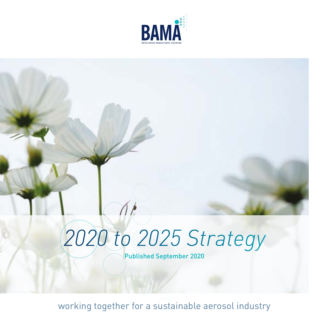

## *2020 to 2025 Strategy*

Published September 2020

working together for a sustainable aerosol industry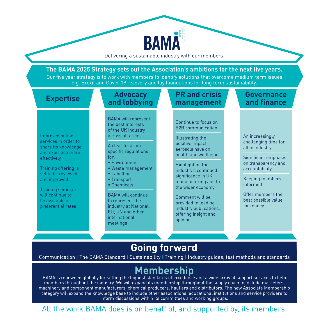

Delivering a sustainable industry with our members.

**BAMA** 

#### **Going forward**

Communication | The BAMA Standard | Sustainability | Training | Industry guides, test methods and standards

**Membership**<br>BAMA is renowned globally for setting the highest standards of excellence and a wide array of support services to help members throughout the industry. We will expand its membership throughout the supply chain to include marketers, machinery and component manufacturers, chemical producers, hauliers and distributors. The new Associate Membership category will expand the knowledge base to include other associations, educational institutions and service providers to inform discussions within its committees and working groups.

All the work BAMA does is on behalf of, and supported by, its members.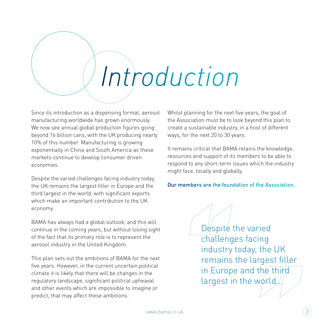# *Introduction*

Since its introduction as a dispensing format, aerosol manufacturing worldwide has grown enormously. We now see annual global production figures going beyond 16 billion cans, with the UK producing nearly 10% of this number. Manufacturing is growing exponentially in China and South America as these markets continue to develop consumer driven economies.

Despite the varied challenges facing industry today, the UK remains the largest filler in Europe and the third largest in the world, with significant exports which make an important contribution to the UK economy.

BAMA has always had a global outlook, and this will continue in the coming years, but without losing sight of the fact that its primary role is to represent the aerosol industry in the United Kingdom.

This plan sets out the ambitions of BAMA for the next five years. However, in the current uncertain political climate it is likely that there will be changes in the regulatory landscape, significant political upheaval and other events which are impossible to imagine or predict, that may affect these ambitions.

Whilst planning for the next five years, the goal of the Association must be to look beyond this plan to create a sustainable industry, in a host of different ways, for the next 20 to 30 years.

It remains critical that BAMA retains the knowledge, resources and support of its members to be able to respond to any short-term issues which the industry might face, locally and globally.

#### Our members are the foundation of the Association.

Despite the varied challenges facing industry today, the UK remains the largest filler in Europe and the third largest in the world.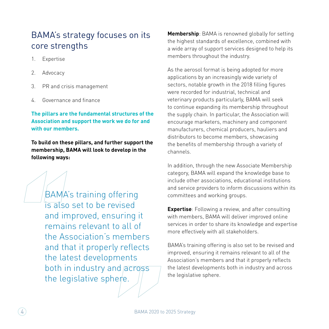#### BAMA's strategy focuses on its core strengths

- 1. Expertise
- 2. Advocacy
- 3. PR and crisis management
- 4. Governance and finance

#### **The pillars are the fundamental structures of the Association and support the work we do for and with our members.**

**To build on these pillars, and further support the membership, BAMA will look to develop in the following ways:**

> BAMA's training offering is also set to be revised and improved, ensuring it remains relevant to all of the Association's members and that it properly reflects the latest developments both in industry and across the legislative sphere.

**Membership**: BAMA is renowned globally for setting the highest standards of excellence, combined with a wide array of support services designed to help its members throughout the industry.

As the aerosol format is being adopted for more applications by an increasingly wide variety of sectors, notable growth in the 2018 filling figures were recorded for industrial, technical and veterinary products particularly, BAMA will seek to continue expanding its membership throughout the supply chain. In particular, the Association will encourage marketers, machinery and component manufacturers, chemical producers, hauliers and distributors to become members, showcasing the benefits of membership through a variety of channels.

In addition, through the new Associate Membership category, BAMA will expand the knowledge base to include other associations, educational institutions and service providers to inform discussions within its committees and working groups.

**Expertise**: Following a review, and after consulting with members, BAMA will deliver improved online services in order to share its knowledge and expertise more effectively with all stakeholders.

BAMA's training offering is also set to be revised and improved, ensuring it remains relevant to all of the Association's members and that it properly reflects the latest developments both in industry and across the legislative sphere.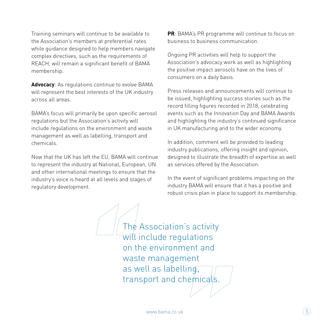Training seminars will continue to be available to the Association's members at preferential rates while guidance designed to help members navigate complex directives, such as the requirements of REACH, will remain a significant benefit of BAMA membership.

**Advocacy**: As regulations continue to evolve BAMA will represent the best interests of the UK industry across all areas.

BAMA's focus will primarily be upon specific aerosol regulations but the Association's activity will include regulations on the environment and waste management as well as labelling, transport and chemicals.

Now that the UK has left the EU, BAMA will continue to represent the industry at National, European, UN and other international meetings to ensure that the industry's voice is heard at all levels and stages of regulatory development.

**PR**: BAMA's PR programme will continue to focus on business to business communication.

Ongoing PR activities will help to support the Association's advocacy work as well as highlighting the positive impact aerosols have on the lives of consumers on a daily basis.

Press releases and announcements will continue to be issued, highlighting success stories such as the record filling figures recorded in 2018, celebrating events such as the Innovation Day and BAMA Awards and highlighting the industry's continued significance in UK manufacturing and to the wider economy.

In addition, comment will be provided to leading industry publications, offering insight and opinion, designed to illustrate the breadth of expertise as well as services offered by the Association.

In the event of significant problems impacting on the industry BAMA will ensure that it has a positive and robust crisis plan in place to support its membership.

The Association's activity will include regulations on the environment and waste management as well as labelling, transport and chemicals.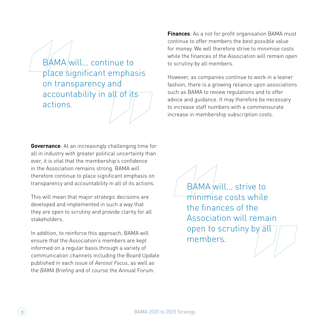BAMA will… continue to place significant emphasis on transparency and accountability in all of its actions.

**Governance**: At an increasingly challenging time for all in industry with greater political uncertainty than ever, it is vital that the membership's confidence in the Association remains strong. BAMA will therefore continue to place significant emphasis on transparency and accountability in all of its actions.

This will mean that major strategic decisions are developed and implemented in such a way that they are open to scrutiny and provide clarity for all stakeholders.

In addition, to reinforce this approach, BAMA will ensure that the Association's members are kept informed on a regular basis through a variety of communication channels including the Board Update published in each issue of *Aerosol Focus*, as well as the *BAMA Briefing* and of course the Annual Forum.

**Finances**: As a not for profit organisation BAMA must continue to offer members the best possible value for money. We will therefore strive to minimise costs while the finances of the Association will remain open to scrutiny by all members.

However, as companies continue to work in a leaner fashion, there is a growing reliance upon associations such as BAMA to review regulations and to offer advice and guidance. It may therefore be necessary to increase staff numbers with a commensurate increase in membership subscription costs.

> BAMA will... strive to minimise costs while the finances of the Association will remain open to scrutiny by all members.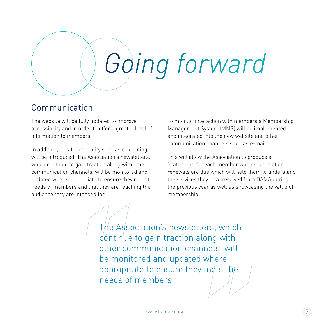

#### Communication

The website will be fully updated to improve accessibility and in order to offer a greater level of information to members.

In addition, new functionality such as e-learning will be introduced. The Association's newsletters, which continue to gain traction along with other communication channels, will be monitored and updated where appropriate to ensure they meet the needs of members and that they are reaching the audience they are intended for.

To monitor interaction with members a Membership Management System (MMS) will be implemented and integrated into the new website and other communication channels such as e-mail.

This will allow the Association to produce a 'statement' for each member when subscription renewals are due which will help them to understand the services they have received from BAMA during the previous year as well as showcasing the value of membership.

The Association's newsletters, which continue to gain traction along with other communication channels, will be monitored and updated where appropriate to ensure they meet the needs of members.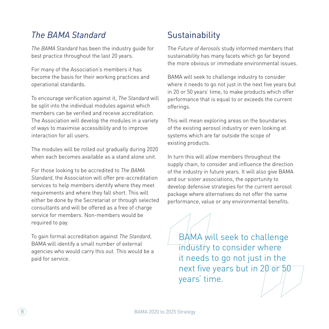#### *The BAMA Standard*

*The BAMA Standard* has been the industry guide for best practice throughout the last 20 years.

For many of the Association's members it has become the basis for their working practices and operational standards.

To encourage verification against it, *The Standard* will be split into the individual modules against which members can be verified and receive accreditation. The Association will develop the modules in a variety of ways to maximise accessibility and to improve interaction for all users.

The modules will be rolled out gradually during 2020 when each becomes available as a stand alone unit.

For those looking to be accredited to *The BAMA Standard*, the Association will offer pre-accreditation services to help members identify where they meet requirements and where they fall short. This will either be done by the Secretariat or through selected consultants and will be offered as a free of charge service for members. Non-members would be required to pay.

To gain formal accreditation against *The Standard*, BAMA will identify a small number of external agencies who would carry this out. This would be a paid for service.

#### **Sustainability**

The *Future of Aerosols* study informed members that sustainability has many facets which go far beyond the more obvious or immediate environmental issues.

BAMA will seek to challenge industry to consider where it needs to go not just in the next five years but in 20 or 50 years' time, to make products which offer performance that is equal to or exceeds the current offerings.

This will mean exploring areas on the boundaries of the existing aerosol industry or even looking at systems which are far outside the scope of existing products.

In turn this will allow members throughout the supply chain, to consider and influence the direction of the industry in future years. It will also give BAMA and our sister associations, the opportunity to develop defensive strategies for the current aerosol package where alternatives do not offer the same performance, value or any environmental benefits.

BAMA will seek to challenge industry to consider where it needs to go not just in the next five years but in 20 or 50 years' time.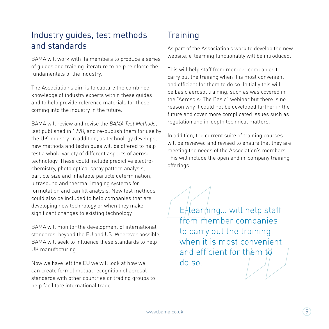#### Industry guides, test methods and standards

BAMA will work with its members to produce a series of guides and training literature to help reinforce the fundamentals of the industry.

The Association's aim is to capture the combined knowledge of industry experts within these guides and to help provide reference materials for those coming into the industry in the future.

BAMA will review and revise the *BAMA Test Methods*, last published in 1998, and re-publish them for use by the UK industry. In addition, as technology develops, new methods and techniques will be offered to help test a whole variety of different aspects of aerosol technology. These could include predictive electrochemistry, photo optical spray pattern analysis, particle size and inhalable particle determination, ultrasound and thermal imaging systems for formulation and can fill analysis. New test methods could also be included to help companies that are developing new technology or when they make significant changes to existing technology.

BAMA will monitor the development of international standards, beyond the EU and US. Wherever possible, BAMA will seek to influence these standards to help UK manufacturing.

Now we have left the EU we will look at how we can create formal mutual recognition of aerosol standards with other countries or trading groups to help facilitate international trade.

### **Training**

As part of the Association's work to develop the new website, e-learning functionality will be introduced.

This will help staff from member companies to carry out the training when it is most convenient and efficient for them to do so. Initially this will be basic aerosol training, such as was covered in the "Aerosols: The Basic" webinar but there is no reason why it could not be developed further in the future and cover more complicated issues such as regulation and in-depth technical matters.

In addition, the current suite of training courses will be reviewed and revised to ensure that they are meeting the needs of the Association's members. This will include the open and in-company training offerings.

 $E/$ learning... will help staff from member companies to carry out the training when it is most convenient and efficient for them to do so.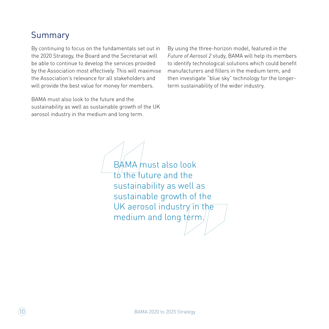#### Summary

By continuing to focus on the fundamentals set out in the 2020 Strategy, the Board and the Secretariat will be able to continue to develop the services provided by the Association most effectively. This will maximise the Association's relevance for all stakeholders and will provide the best value for money for members.

BAMA must also look to the future and the sustainability as well as sustainable growth of the UK aerosol industry in the medium and long term.

By using the three-horizon model, featured in the *Future of Aerosol 2* study, BAMA will help its members to identify technological solutions which could benefit manufacturers and fillers in the medium term, and then investigate "blue sky" technology for the longerterm sustainability of the wider industry.

BAMA must also look to the future and the sustainability as well as sustainable growth of the UK aerosol industry in the medium and long term.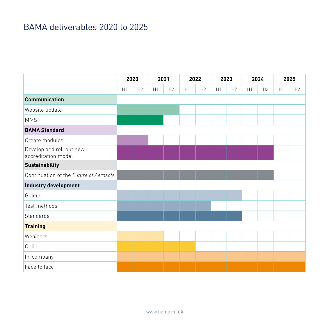### BAMA deliverables 2020 to 2025

|                                                 | 2020 |    | 2021 |                | 2022 |    | 2023 |                | 2024 |                | 2025 |    |
|-------------------------------------------------|------|----|------|----------------|------|----|------|----------------|------|----------------|------|----|
|                                                 | H1   | H2 | H1   | H <sub>2</sub> | H1   | H2 | H1   | H <sub>2</sub> | H1   | H <sub>2</sub> | H1   | H2 |
| <b>Communication</b>                            |      |    |      |                |      |    |      |                |      |                |      |    |
| Website update                                  |      |    |      |                |      |    |      |                |      |                |      |    |
| <b>MMS</b>                                      |      |    |      |                |      |    |      |                |      |                |      |    |
| <b>BAMA Standard</b>                            |      |    |      |                |      |    |      |                |      |                |      |    |
| Create modules                                  |      |    |      |                |      |    |      |                |      |                |      |    |
| Develop and roll out new<br>accreditation model |      |    |      |                |      |    |      |                |      |                |      |    |
| <b>Sustainability</b>                           |      |    |      |                |      |    |      |                |      |                |      |    |
| Continuation of the Future of Aerosols          |      |    |      |                |      |    |      |                |      |                |      |    |
| Industry development                            |      |    |      |                |      |    |      |                |      |                |      |    |
| Guides                                          |      |    |      |                |      |    |      |                |      |                |      |    |
| Test methods                                    |      |    |      |                |      |    |      |                |      |                |      |    |
| Standards                                       |      |    |      |                |      |    |      |                |      |                |      |    |
| <b>Training</b>                                 |      |    |      |                |      |    |      |                |      |                |      |    |
| Webinars                                        |      |    |      |                |      |    |      |                |      |                |      |    |
| Online                                          |      |    |      |                |      |    |      |                |      |                |      |    |
| In-company                                      |      |    |      |                |      |    |      |                |      |                |      |    |
| Face to face                                    |      |    |      |                |      |    |      |                |      |                |      |    |